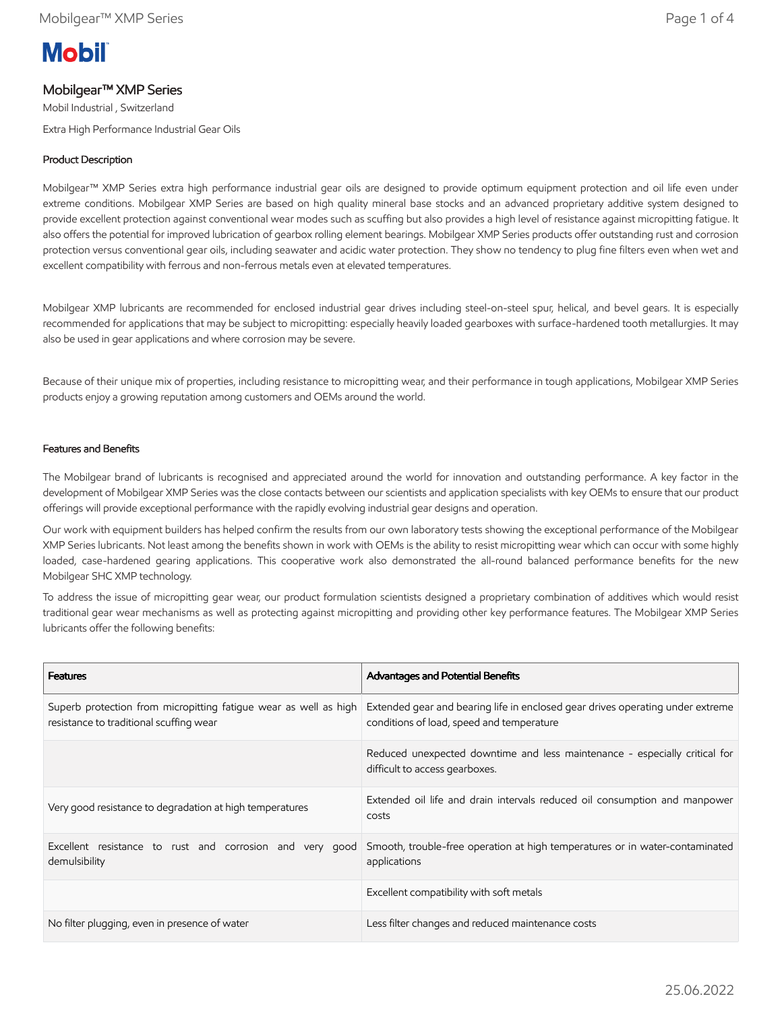# **Mobil**

## Mobilgear™ XMP Series

Mobil Industrial , Switzerland

Extra High Performance Industrial Gear Oils

## Product Description

Mobilgear™ XMP Series extra high performance industrial gear oils are designed to provide optimum equipment protection and oil life even under extreme conditions. Mobilgear XMP Series are based on high quality mineral base stocks and an advanced proprietary additive system designed to provide excellent protection against conventional wear modes such as scuffing but also provides a high level of resistance against micropitting fatigue. It also offers the potential for improved lubrication of gearbox rolling element bearings. Mobilgear XMP Series products offer outstanding rust and corrosion protection versus conventional gear oils, including seawater and acidic water protection. They show no tendency to plug fine filters even when wet and excellent compatibility with ferrous and non-ferrous metals even at elevated temperatures.

Mobilgear XMP lubricants are recommended for enclosed industrial gear drives including steel-on-steel spur, helical, and bevel gears. It is especially recommended for applications that may be subject to micropitting: especially heavily loaded gearboxes with surface-hardened tooth metallurgies. It may also be used in gear applications and where corrosion may be severe.

Because of their unique mix of properties, including resistance to micropitting wear, and their performance in tough applications, Mobilgear XMP Series products enjoy a growing reputation among customers and OEMs around the world.

#### Features and Benefits

The Mobilgear brand of lubricants is recognised and appreciated around the world for innovation and outstanding performance. A key factor in the development of Mobilgear XMP Series was the close contacts between our scientists and application specialists with key OEMs to ensure that our product offerings will provide exceptional performance with the rapidly evolving industrial gear designs and operation.

Our work with equipment builders has helped confirm the results from our own laboratory tests showing the exceptional performance of the Mobilgear XMP Series lubricants. Not least among the benefits shown in work with OEMs is the ability to resist micropitting wear which can occur with some highly loaded, case-hardened gearing applications. This cooperative work also demonstrated the all-round balanced performance benefits for the new Mobilgear SHC XMP technology.

To address the issue of micropitting gear wear, our product formulation scientists designed a proprietary combination of additives which would resist traditional gear wear mechanisms as well as protecting against micropitting and providing other key performance features. The Mobilgear XMP Series lubricants offer the following benefits:

| <b>Features</b>                                                                                             | <b>Advantages and Potential Benefits</b>                                                                                    |
|-------------------------------------------------------------------------------------------------------------|-----------------------------------------------------------------------------------------------------------------------------|
| Superb protection from micropitting fatigue wear as well as high<br>resistance to traditional scuffing wear | Extended gear and bearing life in enclosed gear drives operating under extreme<br>conditions of load, speed and temperature |
|                                                                                                             | Reduced unexpected downtime and less maintenance - especially critical for<br>difficult to access gearboxes.                |
| Very good resistance to degradation at high temperatures                                                    | Extended oil life and drain intervals reduced oil consumption and manpower<br>costs                                         |
| Excellent resistance to rust and corrosion and very good<br>demulsibility                                   | Smooth, trouble-free operation at high temperatures or in water-contaminated<br>applications                                |
|                                                                                                             | Excellent compatibility with soft metals                                                                                    |
| No filter plugging, even in presence of water                                                               | Less filter changes and reduced maintenance costs                                                                           |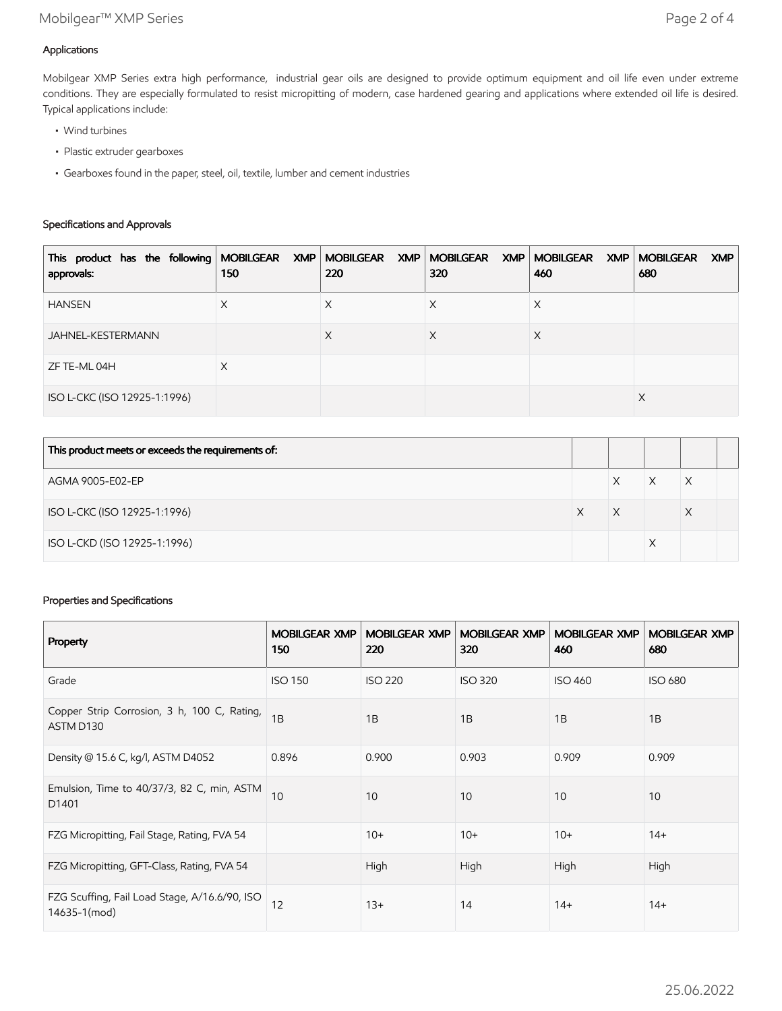## Applications

Mobilgear XMP Series extra high performance, industrial gear oils are designed to provide optimum equipment and oil life even under extreme conditions. They are especially formulated to resist micropitting of modern, case hardened gearing and applications where extended oil life is desired. Typical applications include:

- Wind turbines
- Plastic extruder gearboxes
- Gearboxes found in the paper, steel, oil, textile, lumber and cement industries

## Specifications and Approvals

| This product has the following MOBILGEAR XMP MOBILGEAR XMP MOBILGEAR XMP MOBILGEAR XMP MOBILGEAR<br>approvals: | 150 | 220 | 320 | 460 | XMP<br>680 |
|----------------------------------------------------------------------------------------------------------------|-----|-----|-----|-----|------------|
| <b>HANSEN</b>                                                                                                  | X   | ⋏   | ⋏   | Х   |            |
| JAHNEL-KESTERMANN                                                                                              |     | X   | Х   | X   |            |
| ZF TE-ML 04H                                                                                                   | X   |     |     |     |            |
| ISO L-CKC (ISO 12925-1:1996)                                                                                   |     |     |     |     | X          |

| This product meets or exceeds the requirements of: |   |   |  |
|----------------------------------------------------|---|---|--|
| AGMA 9005-E02-EP                                   | Χ | X |  |
| ISO L-CKC (ISO 12925-1:1996)                       | Χ | Х |  |
| ISO L-CKD (ISO 12925-1:1996)                       |   |   |  |

## Properties and Specifications

| Property                                                      | <b>MOBILGEAR XMP</b><br>150 | <b>MOBILGEAR XMP</b><br>220 | <b>MOBILGEAR XMP</b><br>320 | <b>MOBILGEAR XMP</b><br>460 | <b>MOBILGEAR XMP</b><br>680 |
|---------------------------------------------------------------|-----------------------------|-----------------------------|-----------------------------|-----------------------------|-----------------------------|
| Grade                                                         | <b>ISO 150</b>              | <b>ISO 220</b>              | <b>ISO 320</b>              | <b>ISO 460</b>              | <b>ISO 680</b>              |
| Copper Strip Corrosion, 3 h, 100 C, Rating,<br>ASTM D130      | 1B                          | 1B                          | 1B                          | 1B                          | 1B                          |
| Density @ 15.6 C, kg/l, ASTM D4052                            | 0.896                       | 0.900                       | 0.903                       | 0.909                       | 0.909                       |
| Emulsion, Time to 40/37/3, 82 C, min, ASTM<br>D1401           | 10                          | 10                          | 10                          | 10                          | 10                          |
| FZG Micropitting, Fail Stage, Rating, FVA 54                  |                             | $10+$                       | $10+$                       | $10+$                       | $14+$                       |
| FZG Micropitting, GFT-Class, Rating, FVA 54                   |                             | High                        | High                        | High                        | High                        |
| FZG Scuffing, Fail Load Stage, A/16.6/90, ISO<br>14635-1(mod) | 12                          | $13+$                       | 14                          | $14+$                       | $14+$                       |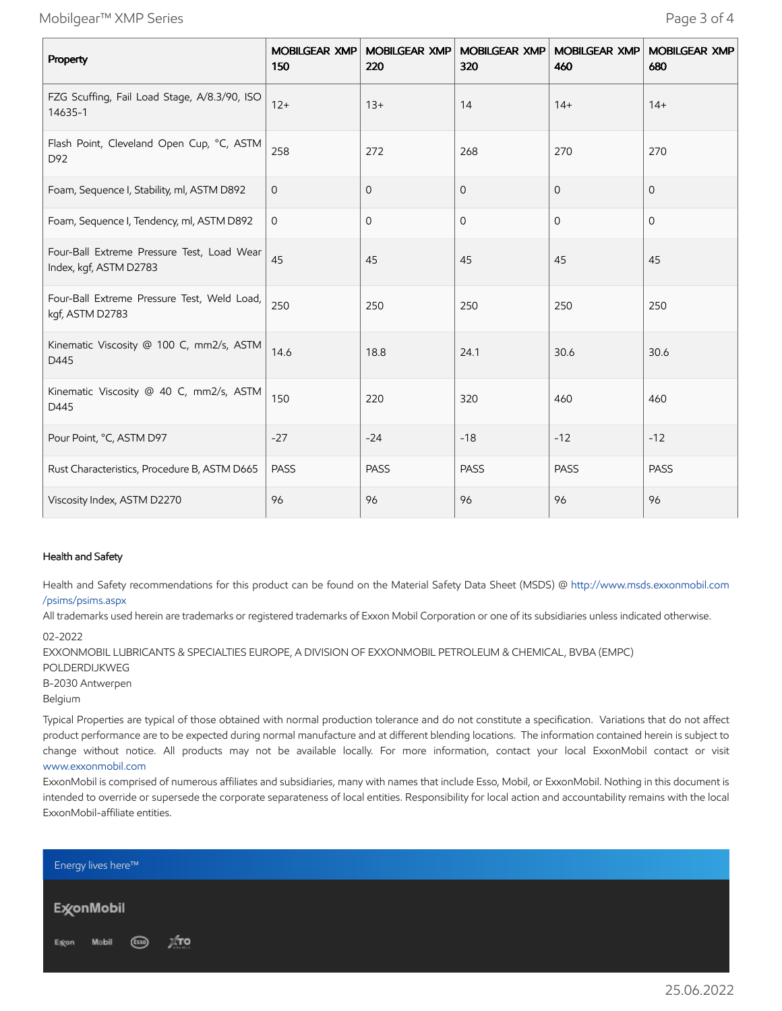Mobilgear™ XMP Series Page 3 of 4

| Property                                                             | 150         | MOBILGEAR XMP MOBILGEAR XMP<br>220 | <b>MOBILGEAR XMP</b><br>320 | <b>MOBILGEAR XMP</b><br>460 | <b>MOBILGEAR XMP</b><br>680 |
|----------------------------------------------------------------------|-------------|------------------------------------|-----------------------------|-----------------------------|-----------------------------|
| FZG Scuffing, Fail Load Stage, A/8.3/90, ISO<br>14635-1              | $12+$       | $13+$                              | 14                          | $14+$                       | $14+$                       |
| Flash Point, Cleveland Open Cup, °C, ASTM<br>D92                     | 258         | 272                                | 268                         | 270                         | 270                         |
| Foam, Sequence I, Stability, ml, ASTM D892                           | $\mathbf 0$ | 0                                  | $\mathbf 0$                 | $\mathbf{0}$                | $\mathbf{0}$                |
| Foam, Sequence I, Tendency, ml, ASTM D892                            | 0           | 0                                  | 0                           | $\mathbf{O}$                | $\mathbf{O}$                |
| Four-Ball Extreme Pressure Test, Load Wear<br>Index, kgf, ASTM D2783 | 45          | 45                                 | 45                          | 45                          | 45                          |
| Four-Ball Extreme Pressure Test, Weld Load,<br>kgf, ASTM D2783       | 250         | 250                                | 250                         | 250                         | 250                         |
| Kinematic Viscosity @ 100 C, mm2/s, ASTM<br>D445                     | 14.6        | 18.8                               | 24.1                        | 30.6                        | 30.6                        |
| Kinematic Viscosity @ 40 C, mm2/s, ASTM<br>D445                      | 150         | 220                                | 320                         | 460                         | 460                         |
| Pour Point, °C, ASTM D97                                             | $-27$       | $-24$                              | $-18$                       | $-12$                       | $-12$                       |
| Rust Characteristics, Procedure B, ASTM D665                         | <b>PASS</b> | <b>PASS</b>                        | <b>PASS</b>                 | <b>PASS</b>                 | <b>PASS</b>                 |
| Viscosity Index, ASTM D2270                                          | 96          | 96                                 | 96                          | 96                          | 96                          |

#### Health and Safety

Health and Safety recommendations for this product can be found on the Material Safety Data Sheet (MSDS) @ [http://www.msds.exxonmobil.com](http://www.msds.exxonmobil.com/psims/psims.aspx) /psims/psims.aspx

All trademarks used herein are trademarks or registered trademarks of Exxon Mobil Corporation or one of its subsidiaries unless indicated otherwise.

EXXONMOBIL LUBRICANTS & SPECIALTIES EUROPE, A DIVISION OF EXXONMOBIL PETROLEUM & CHEMICAL, BVBA (EMPC)

```
POLDERDIJKWEG
```

```
B-2030 Antwerpen
```
Belgium

Typical Properties are typical of those obtained with normal production tolerance and do not constitute a specification. Variations that do not affect product performance are to be expected during normal manufacture and at different blending locations. The information contained herein is subject to change without notice. All products may not be available locally. For more information, contact your local ExxonMobil contact or visit [www.exxonmobil.com](http://www.exxonmobil.com/)

ExxonMobil is comprised of numerous affiliates and subsidiaries, many with names that include Esso, Mobil, or ExxonMobil. Nothing in this document is intended to override or supersede the corporate separateness of local entities. Responsibility for local action and accountability remains with the local ExxonMobil-affiliate entities.



<sup>02-2022</sup>